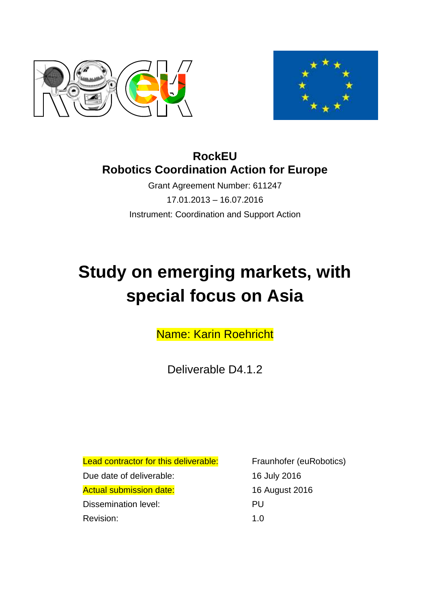



# **RockEU Robotics Coordination Action for Europe**

Grant Agreement Number: 611247 17.01.2013 – 16.07.2016 Instrument: Coordination and Support Action

# **Study on emerging markets, with special focus on Asia**

Name: Karin Roehricht

Deliverable D4.1.2

<span id="page-0-0"></span>Lead contractor for this deliverable: Fraunhofer (euRobotics) Due date of deliverable: 16 July 2016 Actual submission date: 16 August 2016 Dissemination level: PU Revision: 1.0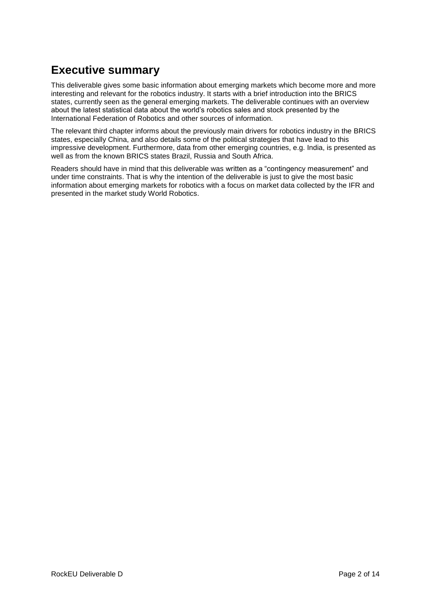# **Executive summary**

This deliverable gives some basic information about emerging markets which become more and more interesting and relevant for the robotics industry. It starts with a brief introduction into the BRICS states, currently seen as the general emerging markets. The deliverable continues with an overview about the latest statistical data about the world's robotics sales and stock presented by the International Federation of Robotics and other sources of information.

The relevant third chapter informs about the previously main drivers for robotics industry in the BRICS states, especially China, and also details some of the political strategies that have lead to this impressive development. Furthermore, data from other emerging countries, e.g. India, is presented as well as from the known BRICS states Brazil, Russia and South Africa.

Readers should have in mind that this deliverable was written as a "contingency measurement" and under time constraints. That is why the intention of the deliverable is just to give the most basic information about emerging markets for robotics with a focus on market data collected by the IFR and presented in the market study World Robotics.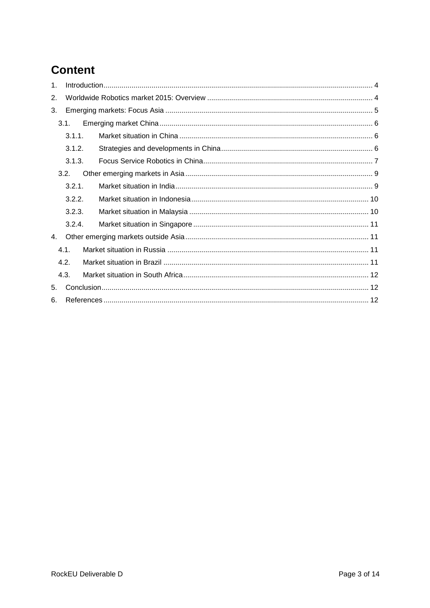# **Content**

| 1 <sub>1</sub> |        |  |  |  |
|----------------|--------|--|--|--|
| 2.             |        |  |  |  |
| 3.             |        |  |  |  |
|                | 3.1.   |  |  |  |
|                | 3.1.1. |  |  |  |
|                | 3.1.2. |  |  |  |
|                | 3.1.3. |  |  |  |
|                | 3.2.   |  |  |  |
|                | 3.2.1. |  |  |  |
|                | 3.2.2. |  |  |  |
|                | 3.2.3. |  |  |  |
|                | 3.2.4. |  |  |  |
| 4.             |        |  |  |  |
| 4.1.           |        |  |  |  |
|                | 4.2.   |  |  |  |
|                | 4.3.   |  |  |  |
| 5.             |        |  |  |  |
| 6.             |        |  |  |  |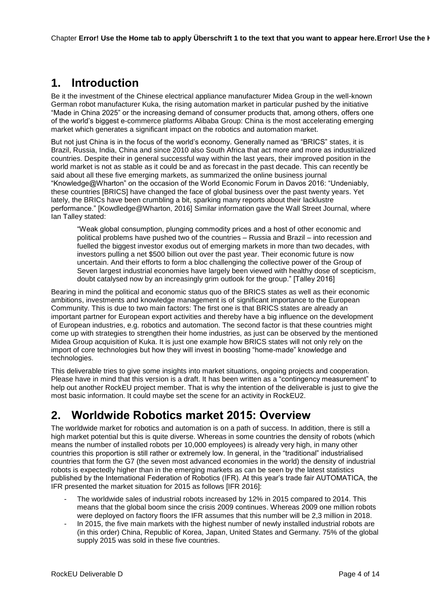# <span id="page-3-0"></span>**1. Introduction**

Be it the investment of the Chinese electrical appliance manufacturer Midea Group in the well-known German robot manufacturer Kuka, the rising automation market in particular pushed by the initiative "Made in China 2025" or the increasing demand of consumer products that, among others, offers one of the world's biggest e-commerce platforms Alibaba Group: China is the most accelerating emerging market which generates a significant impact on the robotics and automation market.

But not just China is in the focus of the world's economy. Generally named as "BRICS" states, it is Brazil, Russia, India, China and since 2010 also South Africa that act more and more as industrialized countries. Despite their in general successful way within the last years, their improved position in the world market is not as stable as it could be and as forecast in the past decade. This can recently be said about all these five emerging markets, as summarized the online business journal "Knowledge@Wharton" on the occasion of the World Economic Forum in Davos 2016: "Undeniably, these countries [BRICS] have changed the face of global business over the past twenty years. Yet lately, the BRICs have been crumbling a bit, sparking many reports about their lacklustre performance." [Kowdledge@Wharton, 2016] Similar information gave the Wall Street Journal, where Ian Talley stated:

"Weak global consumption, plunging commodity prices and a host of other economic and political problems have pushed two of the countries – Russia and Brazil – into recession and fuelled the biggest investor exodus out of emerging markets in more than two decades, with investors pulling a net \$500 billion out over the past year. Their economic future is now uncertain. And their efforts to form a bloc challenging the collective power of the Group of Seven largest industrial economies have largely been viewed with healthy dose of scepticism, doubt catalysed now by an increasingly grim outlook for the group." [Talley 2016]

Bearing in mind the political and economic status quo of the BRICS states as well as their economic ambitions, investments and knowledge management is of significant importance to the European Community. This is due to two main factors: The first one is that BRICS states are already an important partner for European export activities and thereby have a big influence on the development of European industries, e.g. robotics and automation. The second factor is that these countries might come up with strategies to strengthen their home industries, as just can be observed by the mentioned Midea Group acquisition of Kuka. It is just one example how BRICS states will not only rely on the import of core technologies but how they will invest in boosting "home-made" knowledge and technologies.

This deliverable tries to give some insights into market situations, ongoing projects and cooperation. Please have in mind that this version is a draft. It has been written as a "contingency measurement" to help out another RockEU project member. That is why the intention of the deliverable is just to give the most basic information. It could maybe set the scene for an activity in RockEU2.

# <span id="page-3-1"></span>**2. Worldwide Robotics market 2015: Overview**

The worldwide market for robotics and automation is on a path of success. In addition, there is still a high market potential but this is quite diverse. Whereas in some countries the density of robots (which means the number of installed robots per 10,000 employees) is already very high, in many other countries this proportion is still rather or extremely low. In general, in the "traditional" industrialised countries that form the G7 (the seven most advanced economies in the world) the density of industrial robots is expectedly higher than in the emerging markets as can be seen by the latest statistics published by the International Federation of Robotics (IFR). At this year's trade fair AUTOMATICA, the IFR presented the market situation for 2015 as follows [IFR 2016]:

- The worldwide sales of industrial robots increased by 12% in 2015 compared to 2014. This means that the global boom since the crisis 2009 continues. Whereas 2009 one million robots were deployed on factory floors the IFR assumes that this number will be 2,3 million in 2018.
- In 2015, the five main markets with the highest number of newly installed industrial robots are (in this order) China, Republic of Korea, Japan, United States and Germany. 75% of the global supply 2015 was sold in these five countries.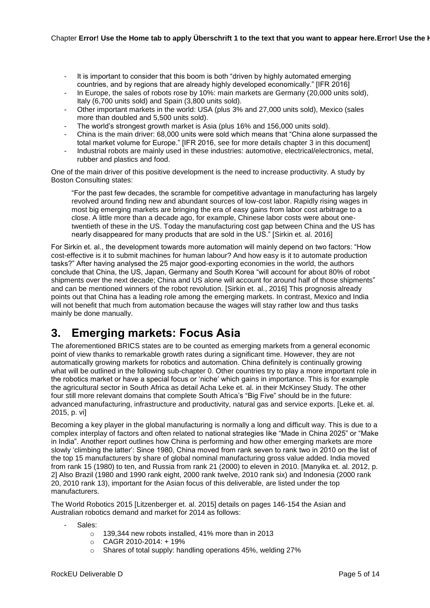- It is important to consider that this boom is both "driven by highly automated emerging countries, and by regions that are already highly developed economically." [IFR 2016]
- In Europe, the sales of robots rose by 10%; main markets are Germany (20,000 units sold). Italy (6,700 units sold) and Spain (3,800 units sold).
- Other important markets in the world: USA (plus 3% and 27,000 units sold), Mexico (sales more than doubled and 5,500 units sold).
- The world's strongest growth market is Asia (plus 16% and 156,000 units sold).
- China is the main driver: 68,000 units were sold which means that "China alone surpassed the total market volume for Europe." [IFR 2016, see for more details chapter [3](#page-4-0) in this document]
- Industrial robots are mainly used in these industries: automotive, electrical/electronics, metal, rubber and plastics and food.

One of the main driver of this positive development is the need to increase productivity. A study by Boston Consulting states:

"For the past few decades, the scramble for competitive advantage in manufacturing has largely revolved around finding new and abundant sources of low-cost labor. Rapidly rising wages in most big emerging markets are bringing the era of easy gains from labor cost arbitrage to a close. A little more than a decade ago, for example, Chinese labor costs were about onetwentieth of these in the US. Today the manufacturing cost gap between China and the US has nearly disappeared for many products that are sold in the US." [Sirkin et. al. 2016]

For Sirkin et. al., the development towards more automation will mainly depend on two factors: "How cost-effective is it to submit machines for human labour? And how easy is it to automate production tasks?" After having analysed the 25 major good-exporting economies in the world, the authors conclude that China, the US, Japan, Germany and South Korea "will account for about 80% of robot shipments over the next decade; China and US alone will account for around half of those shipments" and can be mentioned winners of the robot revolution. [Sirkin et. al., 2016] This prognosis already points out that China has a leading role among the emerging markets. In contrast, Mexico and India will not benefit that much from automation because the wages will stay rather low and thus tasks mainly be done manually.

# <span id="page-4-0"></span>**3. Emerging markets: Focus Asia**

The aforementioned BRICS states are to be counted as emerging markets from a general economic point of view thanks to remarkable growth rates during a significant time. However, they are not automatically growing markets for robotics and automation. China definitely is continually growing what will be outlined in the following sub-chapter [0.](#page-4-1) Other countries try to play a more important role in the robotics market or have a special focus or 'niche' which gains in importance. This is for example the agricultural sector in South Africa as detail Acha Leke et. al. in their McKinsey Study. The other four still more relevant domains that complete South Africa's "Big Five" should be in the future: advanced manufacturing, infrastructure and productivity, natural gas and service exports. [Leke et. al. 2015, p. vi]

Becoming a key player in the global manufacturing is normally a long and difficult way. This is due to a complex interplay of factors and often related to national strategies like "Made in China 2025" or "Make in India". Another report outlines how China is performing and how other emerging markets are more slowly 'climbing the latter': Since 1980, China moved from rank seven to rank two in 2010 on the list of the top 15 manufacturers by share of global nominal manufacturing gross value added. India moved from rank 15 (1980) to ten, and Russia from rank 21 (2000) to eleven in 2010. [Manyika et. al. 2012, p. 2] Also Brazil (1980 and 1990 rank eight, 2000 rank twelve, 2010 rank six) and Indonesia (2000 rank 20, 2010 rank 13), important for the Asian focus of this deliverable, are listed under the top manufacturers.

<span id="page-4-1"></span>The World Robotics 2015 [Litzenberger et. al. 2015] details on pages 146-154 the Asian and Australian robotics demand and market for 2014 as follows:

- Sales:
	- o 139,344 new robots installed, 41% more than in 2013
	- $O$  CAGR 2010-2014: + 19%
	- o Shares of total supply: handling operations 45%, welding 27%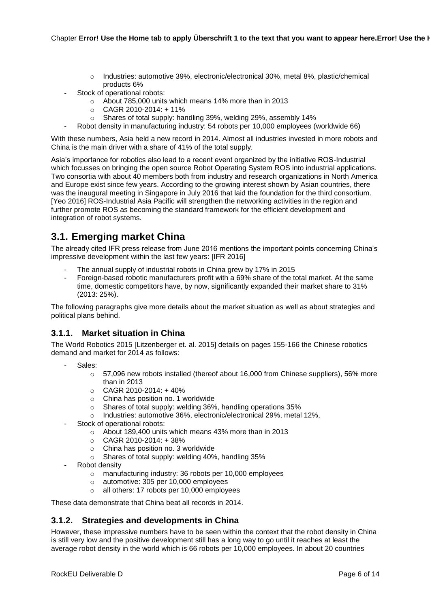- o Industries: automotive 39%, electronic/electronical 30%, metal 8%, plastic/chemical products 6%
- Stock of operational robots:
	- o About 785,000 units which means 14% more than in 2013
	- $O$  CAGR 2010-2014: +11%
	- o Shares of total supply: handling 39%, welding 29%, assembly 14%
- Robot density in manufacturing industry: 54 robots per 10,000 employees (worldwide 66)

With these numbers, Asia held a new record in 2014. Almost all industries invested in more robots and China is the main driver with a share of 41% of the total supply.

Asia's importance for robotics also lead to a recent event organized by the initiative ROS-Industrial which focusses on bringing the open source Robot Operating System ROS into industrial applications. Two consortia with about 40 members both from industry and research organizations in North America and Europe exist since few years. According to the growing interest shown by Asian countries, there was the inaugural meeting in Singapore in July 2016 that laid the foundation for the third consortium. [Yeo 2016] ROS-Industrial Asia Pacific will strengthen the networking activities in the region and further promote ROS as becoming the standard framework for the efficient development and integration of robot systems.

## <span id="page-5-0"></span>**3.1. Emerging market China**

The already cited IFR press release from June 2016 mentions the important points concerning China's impressive development within the last few years: [IFR 2016]

- The annual supply of industrial robots in China grew by 17% in 2015
- Foreign-based robotic manufacturers profit with a 69% share of the total market. At the same time, domestic competitors have, by now, significantly expanded their market share to 31% (2013: 25%).

The following paragraphs give more details about the market situation as well as about strategies and political plans behind.

#### <span id="page-5-1"></span>**3.1.1. Market situation in China**

The World Robotics 2015 [Litzenberger et. al. 2015] details on pages 155-166 the Chinese robotics demand and market for 2014 as follows:

- Sales:
	- o 57,096 new robots installed (thereof about 16,000 from Chinese suppliers), 56% more than in 2013
	- $O$  CAGR 2010-2014: +40%
	- o China has position no. 1 worldwide
	- o Shares of total supply: welding 36%, handling operations 35%
	- o Industries: automotive 36%, electronic/electronical 29%, metal 12%,
- Stock of operational robots:
	- o About 189,400 units which means 43% more than in 2013
	- $O$  CAGR 2010-2014: +38%
	- o China has position no. 3 worldwide
	- o Shares of total supply: welding 40%, handling 35%
- Robot density
	- o manufacturing industry: 36 robots per 10,000 employees
	- o automotive: 305 per 10,000 employees
	- o all others: 17 robots per 10,000 employees

These data demonstrate that China beat all records in 2014.

#### <span id="page-5-2"></span>**3.1.2. Strategies and developments in China**

However, these impressive numbers have to be seen within the context that the robot density in China is still very low and the positive development still has a long way to go until it reaches at least the average robot density in the world which is 66 robots per 10,000 employees. In about 20 countries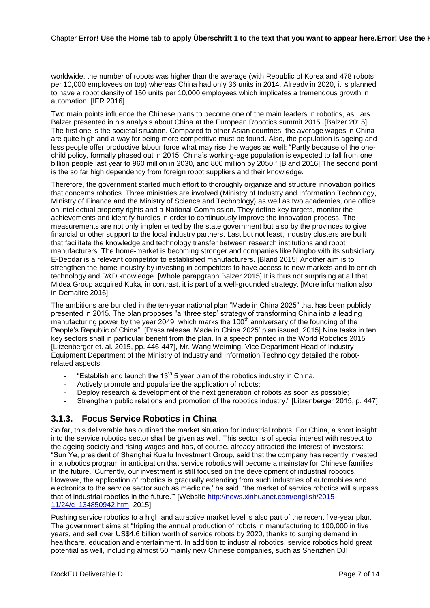worldwide, the number of robots was higher than the average (with Republic of Korea and 478 robots per 10,000 employees on top) whereas China had only 36 units in 2014. Already in 2020, it is planned to have a robot density of 150 units per 10,000 employees which implicates a tremendous growth in automation. [IFR 2016]

Two main points influence the Chinese plans to become one of the main leaders in robotics, as Lars Balzer presented in his analysis about China at the European Robotics summit 2015. [Balzer 2015] The first one is the societal situation. Compared to other Asian countries, the average wages in China are quite high and a way for being more competitive must be found. Also, the population is ageing and less people offer productive labour force what may rise the wages as well: "Partly because of the onechild policy, formally phased out in 2015, China's working-age population is expected to fall from one billion people last year to 960 million in 2030, and 800 million by 2050." [Bland 2016] The second point is the so far high dependency from foreign robot suppliers and their knowledge.

Therefore, the government started much effort to thoroughly organize and structure innovation politics that concerns robotics. Three ministries are involved (Ministry of Industry and Information Technology, Ministry of Finance and the Ministry of Science and Technology) as well as two academies, one office on intellectual property rights and a National Commission. They define key targets, monitor the achievements and identify hurdles in order to continuously improve the innovation process. The measurements are not only implemented by the state government but also by the provinces to give financial or other support to the local industry partners. Last but not least, industry clusters are built that facilitate the knowledge and technology transfer between research institutions and robot manufacturers. The home-market is becoming stronger and companies like Ningbo with its subsidiary E-Deodar is a relevant competitor to established manufacturers. [Bland 2015] Another aim is to strengthen the home industry by investing in competitors to have access to new markets and to enrich technology and R&D knowledge. [Whole parapgraph Balzer 2015] It is thus not surprising at all that Midea Group acquired Kuka, in contrast, it is part of a well-grounded strategy. [More information also in Demaitre 2016]

The ambitions are bundled in the ten-year national plan "Made in China 2025" that has been publicly presented in 2015. The plan proposes "a 'three step' strategy of transforming China into a leading manufacturing power by the year 2049, which marks the  $100<sup>th</sup>$  anniversary of the founding of the People's Republic of China". [Press release 'Made in China 2025' plan issued, 2015] Nine tasks in ten key sectors shall in particular benefit from the plan. In a speech printed in the World Robotics 2015 [Litzenberger et. al. 2015, pp. 446-447], Mr. Wang Weiming, Vice Department Head of Industry Equipment Department of the Ministry of Industry and Information Technology detailed the robotrelated aspects:

- "Establish and launch the 13<sup>th</sup> 5 year plan of the robotics industry in China.
- Actively promote and popularize the application of robots;
- Deploy research & development of the next generation of robots as soon as possible;
- Strengthen public relations and promotion of the robotics industry." [Litzenberger 2015, p. 447]

#### <span id="page-6-0"></span>**3.1.3. Focus Service Robotics in China**

So far, this deliverable has outlined the market situation for industrial robots. For China, a short insight into the service robotics sector shall be given as well. This sector is of special interest with respect to the ageing society and rising wages and has, of course, already attracted the interest of investors: "Sun Ye, president of Shanghai Kuailu Investment Group, said that the company has recently invested in a robotics program in anticipation that service robotics will become a mainstay for Chinese families in the future. 'Currently, our investment is still focused on the development of industrial robotics. However, the application of robotics is gradually extending from such industries of automobiles and electronics to the service sector such as medicine,' he said, 'the market of service robotics will surpass that of industrial robotics in the future.'" [Website [http://news.xinhuanet.com/english/2015-](http://news.xinhuanet.com/english/2015-11/24/c_134850942.htm) [11/24/c\\_134850942.htm,](http://news.xinhuanet.com/english/2015-11/24/c_134850942.htm) 2015]

Pushing service robotics to a high and attractive market level is also part of the recent five-year plan. The government aims at "tripling the annual production of robots in manufacturing to 100,000 in five years, and sell over US\$4.6 billion worth of service robots by 2020, thanks to surging demand in healthcare, education and entertainment. In addition to industrial robotics, service robotics hold great potential as well, including almost 50 mainly new Chinese companies, such as Shenzhen DJI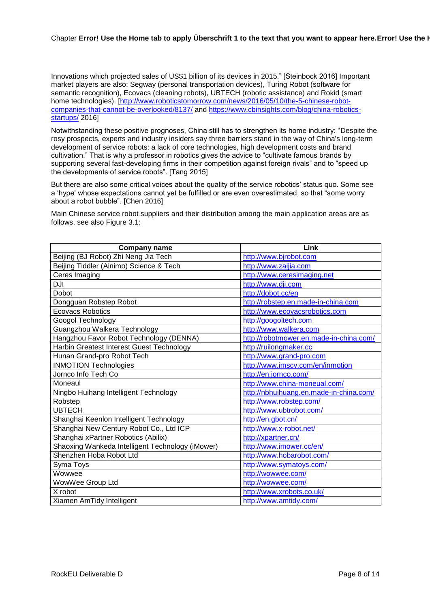#### Chapter **Error! Use the Home tab to apply Überschrift 1 to the text that you want to appear here.Error! Use the Home tab to apply Überschrift 1 to the text that you want to appear here.**

Innovations which projected sales of US\$1 billion of its devices in 2015." [Steinbock 2016] Important market players are also: Segway (personal transportation devices), Turing Robot (software for semantic recognition), Ecovacs (cleaning robots), UBTECH (robotic assistance) and Rokid (smart home technologies). [\[http://www.roboticstomorrow.com/news/2016/05/10/the-5-chinese-robot](http://www.roboticstomorrow.com/news/2016/05/10/the-5-chinese-robot-companies-that-cannot-be-overlooked/8137/)[companies-that-cannot-be-overlooked/8137/](http://www.roboticstomorrow.com/news/2016/05/10/the-5-chinese-robot-companies-that-cannot-be-overlooked/8137/) and [https://www.cbinsights.com/blog/china-robotics](https://www.cbinsights.com/blog/china-robotics-startups/)[startups/](https://www.cbinsights.com/blog/china-robotics-startups/) 2016]

Notwithstanding these positive prognoses, China still has to strengthen its home industry: "Despite the rosy prospects, experts and industry insiders say three barriers stand in the way of China's long-term development of service robots: a lack of core technologies, high development costs and brand cultivation." That is why a professor in robotics gives the advice to "cultivate famous brands by supporting several fast-developing firms in their competition against foreign rivals" and to "speed up the developments of service robots". [Tang 2015]

But there are also some critical voices about the quality of the service robotics' status quo. Some see a 'hype' whose expectations cannot yet be fulfilled or are even overestimated, so that "some worry about a robot bubble". [Chen 2016]

Main Chinese service robot suppliers and their distribution among the main application areas are as follows, see also [Figure 3.1:](#page-8-2)

| <b>Company name</b>                              | Link                                    |
|--------------------------------------------------|-----------------------------------------|
| Beijing (BJ Robot) Zhi Neng Jia Tech             | http://www.bjrobot.com                  |
| Beijing Tiddler (Ainimo) Science & Tech          | http://www.zaijia.com                   |
| Ceres Imaging                                    | http://www.ceresimaging.net             |
| <b>DJI</b>                                       | http://www.dji.com                      |
| Dobot                                            | http://dobot.cc/en                      |
| Dongguan Robstep Robot                           | http://robstep.en.made-in-china.com     |
| <b>Ecovacs Robotics</b>                          | http://www.ecovacsrobotics.com          |
| Googol Technology                                | http://googoltech.com                   |
| Guangzhou Walkera Technology                     | http://www.walkera.com                  |
| Hangzhou Favor Robot Technology (DENNA)          | http://robotmower.en.made-in-china.com/ |
| Harbin Greatest Interest Guest Technology        | http://ruilongmaker.cc                  |
| Hunan Grand-pro Robot Tech                       | http://www.grand-pro.com                |
| <b>INMOTION Technologies</b>                     | http://www.imscv.com/en/inmotion        |
| Jornco Info Tech Co                              | http://en.jornco.com/                   |
| Moneaul                                          | http://www.china-moneual.com/           |
| Ningbo Huihang Intelligent Technology            | http://nbhuihuang.en.made-in-china.com/ |
| Robstep                                          | http://www.robstep.com/                 |
| <b>UBTECH</b>                                    | http://www.ubtrobot.com/                |
| Shanghai Keenlon Intelligent Technology          | http://en.gbot.cn/                      |
| Shanghai New Century Robot Co., Ltd ICP          | http://www.x-robot.net/                 |
| Shanghai xPartner Robotics (Abilix)              | http://xpartner.cn/                     |
| Shaoxing Wankeda Intelligent Technology (iMower) | http://www.imower.cc/en/                |
| Shenzhen Hoba Robot Ltd                          | http://www.hobarobot.com/               |
| Syma Toys                                        | http://www.symatoys.com/                |
| Wowwee                                           | http://wowwee.com/                      |
| WowWee Group Ltd                                 | http://wowwee.com/                      |
| X robot                                          | http://www.xrobots.co.uk/               |
| Xiamen AmTidy Intelligent                        | http://www.amtidy.com/                  |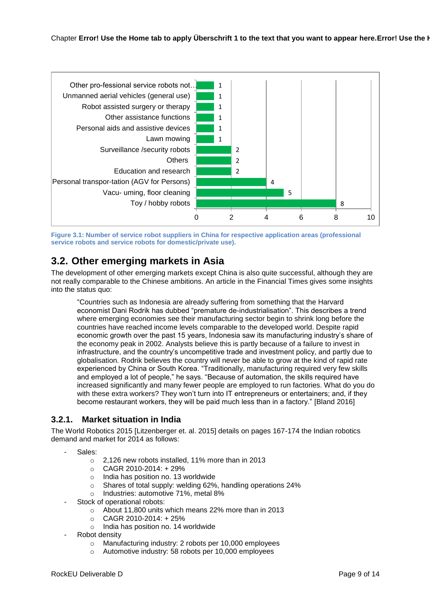

<span id="page-8-2"></span>**Figure 3.1: Number of service robot suppliers in China for respective application areas (professional service robots and service robots for domestic/private use).** 

## <span id="page-8-0"></span>**3.2. Other emerging markets in Asia**

The development of other emerging markets except China is also quite successful, although they are not really comparable to the Chinese ambitions. An article in the Financial Times gives some insights into the status quo:

"Countries such as Indonesia are already suffering from something that the Harvard economist Dani Rodrik has dubbed "premature de-industrialisation". This describes a trend where emerging economies see their manufacturing sector begin to shrink long before the countries have reached income levels comparable to the developed world. Despite rapid economic growth over the past 15 years, Indonesia saw its manufacturing industry's share of the economy peak in 2002. Analysts believe this is partly because of a failure to invest in infrastructure, and the country's uncompetitive trade and investment policy, and partly due to globalisation. Rodrik believes the country will never be able to grow at the kind of rapid rate experienced by China or South Korea. "Traditionally, manufacturing required very few skills and employed a lot of people," he says. "Because of automation, the skills required have increased significantly and many fewer people are employed to run factories. What do you do with these extra workers? They won't turn into IT entrepreneurs or entertainers; and, if they become restaurant workers, they will be paid much less than in a factory." [Bland 2016]

## <span id="page-8-1"></span>**3.2.1. Market situation in India**

The World Robotics 2015 [Litzenberger et. al. 2015] details on pages 167-174 the Indian robotics demand and market for 2014 as follows:

- Sales:
	- o 2,126 new robots installed, 11% more than in 2013
	- $O$  CAGR 2010-2014: + 29%
	- o India has position no. 13 worldwide
	- o Shares of total supply: welding 62%, handling operations 24%
	- o Industries: automotive 71%, metal 8%
- Stock of operational robots:
	- o About 11,800 units which means 22% more than in 2013
	- $O$  CAGR 2010-2014: + 25%
	- o India has position no. 14 worldwide
- Robot density
	- o Manufacturing industry: 2 robots per 10,000 employees
	- o Automotive industry: 58 robots per 10,000 employees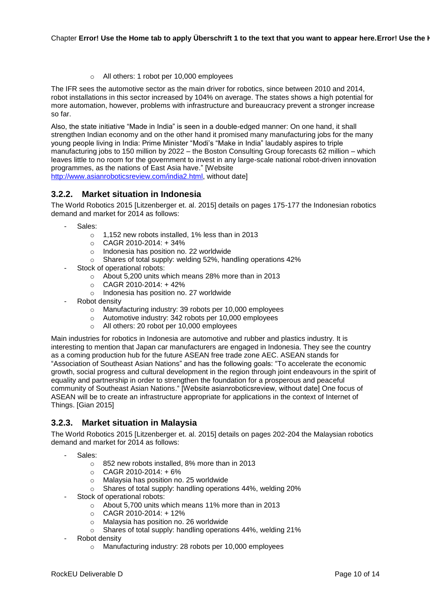o All others: 1 robot per 10,000 employees

The IFR sees the automotive sector as the main driver for robotics, since between 2010 and 2014, robot installations in this sector increased by 104% on average. The states shows a high potential for more automation, however, problems with infrastructure and bureaucracy prevent a stronger increase so far.

Also, the state initiative "Made in India" is seen in a double-edged manner: On one hand, it shall strengthen Indian economy and on the other hand it promised many manufacturing jobs for the many young people living in India: Prime Minister "Modi's "Make in India" laudably aspires to triple manufacturing jobs to 150 million by 2022 – the Boston Consulting Group forecasts 62 million – which leaves little to no room for the government to invest in any large-scale national robot-driven innovation programmes, as the nations of East Asia have." [Website [http://www.asianroboticsreview.com/india2.html,](http://www.asianroboticsreview.com/india2.html) without date]

## <span id="page-9-0"></span>**3.2.2. Market situation in Indonesia**

The World Robotics 2015 [Litzenberger et. al. 2015] details on pages 175-177 the Indonesian robotics demand and market for 2014 as follows:

- Sales:
	- o 1,152 new robots installed, 1% less than in 2013
	- $O$  CAGR 2010-2014: + 34%
	- o Indonesia has position no. 22 worldwide
	- o Shares of total supply: welding 52%, handling operations 42%
	- Stock of operational robots:
		- o About 5,200 units which means 28% more than in 2013
		- o CAGR 2010-2014: + 42%
		- o Indonesia has position no. 27 worldwide
- Robot density
	- o Manufacturing industry: 39 robots per 10,000 employees
	- o Automotive industry: 342 robots per 10,000 employees
	- o All others: 20 robot per 10,000 employees

Main industries for robotics in Indonesia are automotive and rubber and plastics industry. It is interesting to mention that Japan car manufacturers are engaged in Indonesia. They see the country as a coming production hub for the future ASEAN free trade zone AEC. ASEAN stands for "Association of Southeast Asian Nations" and has the following goals: "To accelerate the economic growth, social progress and cultural development in the region through joint endeavours in the spirit of equality and partnership in order to strengthen the foundation for a prosperous and peaceful community of Southeast Asian Nations." [Website asianroboticsreview, without date] One focus of ASEAN will be to create an infrastructure appropriate for applications in the context of Internet of Things. [Gian 2015]

#### <span id="page-9-1"></span>**3.2.3. Market situation in Malaysia**

The World Robotics 2015 [Litzenberger et. al. 2015] details on pages 202-204 the Malaysian robotics demand and market for 2014 as follows:

- Sales:
	- o 852 new robots installed, 8% more than in 2013
	- $O$  CAGR 2010-2014: + 6%
	- o Malaysia has position no. 25 worldwide
	- o Shares of total supply: handling operations 44%, welding 20%
- Stock of operational robots:
	- $\circ$  About 5,700 units which means 11% more than in 2013
	- $O$  CAGR 2010-2014: +12%
	- o Malaysia has position no. 26 worldwide
	- o Shares of total supply: handling operations 44%, welding 21%
- Robot density
	- o Manufacturing industry: 28 robots per 10,000 employees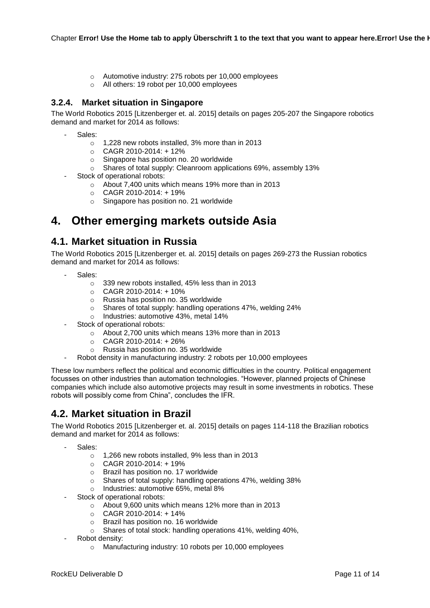- o Automotive industry: 275 robots per 10,000 employees
- o All others: 19 robot per 10,000 employees

### <span id="page-10-0"></span>**3.2.4. Market situation in Singapore**

The World Robotics 2015 [Litzenberger et. al. 2015] details on pages 205-207 the Singapore robotics demand and market for 2014 as follows:

- Sales:
	- o 1,228 new robots installed, 3% more than in 2013
	- o CAGR 2010-2014: + 12%
	- o Singapore has position no. 20 worldwide
	- o Shares of total supply: Cleanroom applications 69%, assembly 13%
- Stock of operational robots:
	- o About 7,400 units which means 19% more than in 2013
	- $O$  CAGR 2010-2014: +19%
	- o Singapore has position no. 21 worldwide

## <span id="page-10-1"></span>**4. Other emerging markets outside Asia**

## <span id="page-10-2"></span>**4.1. Market situation in Russia**

The World Robotics 2015 [Litzenberger et. al. 2015] details on pages 269-273 the Russian robotics demand and market for 2014 as follows:

- Sales:
	- o 339 new robots installed, 45% less than in 2013
	- $O$  CAGR 2010-2014: +10%
	- o Russia has position no. 35 worldwide
	- o Shares of total supply: handling operations 47%, welding 24%
	- o Industries: automotive 43%, metal 14%
	- Stock of operational robots:
		- o About 2,700 units which means 13% more than in 2013
		- $O$  CAGR 2010-2014: + 26%
		- o Russia has position no. 35 worldwide
- Robot density in manufacturing industry: 2 robots per 10,000 employees

These low numbers reflect the political and economic difficulties in the country. Political engagement focusses on other industries than automation technologies. "However, planned projects of Chinese companies which include also automotive projects may result in some investments in robotics. These robots will possibly come from China", concludes the IFR.

## <span id="page-10-3"></span>**4.2. Market situation in Brazil**

The World Robotics 2015 [Litzenberger et. al. 2015] details on pages 114-118 the Brazilian robotics demand and market for 2014 as follows:

- Sales:
	- o 1,266 new robots installed, 9% less than in 2013
	- $O$  CAGR 2010-2014: +19%
	- o Brazil has position no. 17 worldwide
	- o Shares of total supply: handling operations 47%, welding 38%
	- o Industries: automotive 65%, metal 8%
- Stock of operational robots:
	- o About 9,600 units which means 12% more than in 2013
	- $O$  CAGR 2010-2014: +14%
	- o Brazil has position no. 16 worldwide
	- o Shares of total stock: handling operations 41%, welding 40%,
- Robot density:
	- o Manufacturing industry: 10 robots per 10,000 employees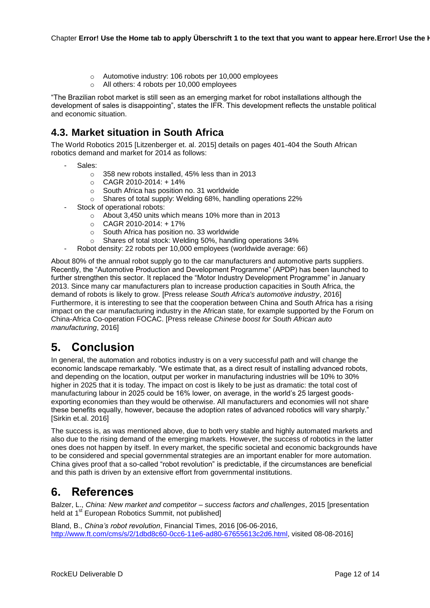- o Automotive industry: 106 robots per 10,000 employees
- o All others: 4 robots per 10,000 employees

"The Brazilian robot market is still seen as an emerging market for robot installations although the development of sales is disappointing", states the IFR. This development reflects the unstable political and economic situation.

## <span id="page-11-0"></span>**4.3. Market situation in South Africa**

The World Robotics 2015 [Litzenberger et. al. 2015] details on pages 401-404 the South African robotics demand and market for 2014 as follows:

- Sales:
	- o 358 new robots installed, 45% less than in 2013
	- $O$  CAGR 2010-2014: +14%
	- o South Africa has position no. 31 worldwide
	- o Shares of total supply: Welding 68%, handling operations 22%
- Stock of operational robots:
	- o About 3,450 units which means 10% more than in 2013
	- $O$  CAGR 2010-2014: +17%
	- o South Africa has position no. 33 worldwide
	- o Shares of total stock: Welding 50%, handling operations 34%
- Robot density: 22 robots per 10,000 employees (worldwide average: 66)

About 80% of the annual robot supply go to the car manufacturers and automotive parts suppliers. Recently, the "Automotive Production and Development Programme" (APDP) has been launched to further strengthen this sector. It replaced the "Motor Industry Development Programme" in January 2013. Since many car manufacturers plan to increase production capacities in South Africa, the demand of robots is likely to grow. [Press release *South Africa's automotive industry*, 2016] Furthermore, it is interesting to see that the cooperation between China and South Africa has a rising impact on the car manufacturing industry in the African state, for example supported by the Forum on China-Africa Co-operation FOCAC. [Press release *Chinese boost for South African auto manufacturing*, 2016]

# <span id="page-11-1"></span>**5. Conclusion**

In general, the automation and robotics industry is on a very successful path and will change the economic landscape remarkably. "We estimate that, as a direct result of installing advanced robots, and depending on the location, output per worker in manufacturing industries will be 10% to 30% higher in 2025 that it is today. The impact on cost is likely to be just as dramatic: the total cost of manufacturing labour in 2025 could be 16% lower, on average, in the world's 25 largest goodsexporting economies than they would be otherwise. All manufacturers and economies will not share these benefits equally, however, because the adoption rates of advanced robotics will vary sharply." [Sirkin et.al. 2016]

The success is, as was mentioned above, due to both very stable and highly automated markets and also due to the rising demand of the emerging markets. However, the success of robotics in the latter ones does not happen by itself. In every market, the specific societal and economic backgrounds have to be considered and special governmental strategies are an important enabler for more automation. China gives proof that a so-called "robot revolution" is predictable, if the circumstances are beneficial and this path is driven by an extensive effort from governmental institutions.

## <span id="page-11-2"></span>**6. References**

Balzer, L., *China: New market and competitor – success factors and challenges*, 2015 [presentation held at 1<sup>st</sup> European Robotics Summit, not published]

Bland, B., *China's robot revolution*, Financial Times, 2016 [06-06-2016, [http://www.ft.com/cms/s/2/1dbd8c60-0cc6-11e6-ad80-67655613c2d6.html,](http://www.ft.com/cms/s/2/1dbd8c60-0cc6-11e6-ad80-67655613c2d6.html) visited 08-08-2016]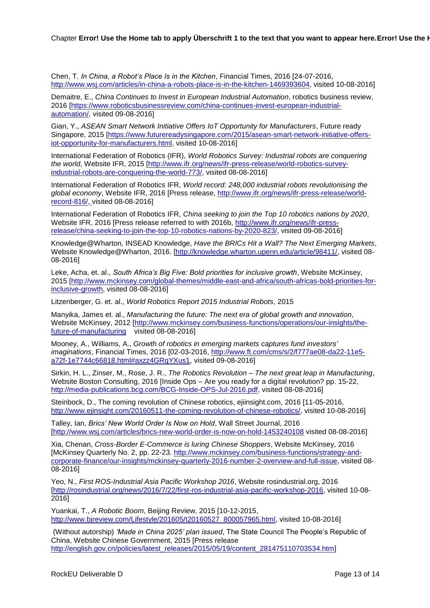Chen, T. *In China, a Robot's Place Is in the Kitchen*, Financial Times, 2016 [24-07-2016, [http://www.wsj.com/articles/in-china-a-robots-place-is-in-the-kitchen-1469393604,](http://www.wsj.com/articles/in-china-a-robots-place-is-in-the-kitchen-1469393604) visited 10-08-2016]

Demaitre, E., *China Continues to Invest in European Industrial Automation*, robotics business review, 2016 [\[https://www.roboticsbusinessreview.com/china-continues-invest-european-industrial](https://www.roboticsbusinessreview.com/china-continues-invest-european-industrial-automation/)[automation/,](https://www.roboticsbusinessreview.com/china-continues-invest-european-industrial-automation/) visited 09-08-2016]

Gian, Y., *ASEAN Smart Network Initiative Offers IoT Opportunity for Manufacturers*, Future ready Singapore, 2015 [\[https://www.futurereadysingapore.com/2015/asean-smart-network-initiative-offers](https://www.futurereadysingapore.com/2015/asean-smart-network-initiative-offers-iot-opportunity-for-manufacturers.html)[iot-opportunity-for-manufacturers.html,](https://www.futurereadysingapore.com/2015/asean-smart-network-initiative-offers-iot-opportunity-for-manufacturers.html) visited 10-08-2016]

International Federation of Robotics (IFR), *World Robotics Survey: Industrial robots are conquering the world*, Website IFR, 2015 [\[http://www.ifr.org/news/ifr-press-release/world-robotics-survey](http://www.ifr.org/news/ifr-press-release/world-robotics-survey-industrial-robots-are-conquering-the-world-773/)[industrial-robots-are-conquering-the-world-773/,](http://www.ifr.org/news/ifr-press-release/world-robotics-survey-industrial-robots-are-conquering-the-world-773/) visited 08-08-2016]

International Federation of Robotics IFR, *World record: 248,000 industrial robots revolutionising the global economy*, Website IFR, 2016 [Press release, [http://www.ifr.org/news/ifr-press-release/world](http://www.ifr.org/news/ifr-press-release/world-record-816/)[record-816/,](http://www.ifr.org/news/ifr-press-release/world-record-816/) visited 08-08-2016]

International Federation of Robotics IFR, *China seeking to join the Top 10 robotics nations by 2020*, Website IFR, 2016 [Press release referred to with 2016b, [http://www.ifr.org/news/ifr-press](http://www.ifr.org/news/ifr-press-release/china-seeking-to-join-the-top-10-robotics-nations-by-2020-823/)[release/china-seeking-to-join-the-top-10-robotics-nations-by-2020-823/,](http://www.ifr.org/news/ifr-press-release/china-seeking-to-join-the-top-10-robotics-nations-by-2020-823/) visited 09-08-2016]

Knowledge@Wharton, INSEAD Knowledge, *Have the BRICs Hit a Wall? The Next Emerging Markets*, Website Knowledge@Wharton, 2016. [\[http://knowledge.wharton.upenn.edu/article/98411/,](http://knowledge.wharton.upenn.edu/article/98411/) visited 08- 08-2016]

Leke, Acha, et. al., *South Africa's Big Five: Bold priorities for inclusive growth*, Website McKinsey, 2015 [\[http://www.mckinsey.com/global-themes/middle-east-and-africa/south-africas-bold-priorities-for](http://www.mckinsey.com/global-themes/middle-east-and-africa/south-africas-bold-priorities-for-inclusive-growth)[inclusive-growth,](http://www.mckinsey.com/global-themes/middle-east-and-africa/south-africas-bold-priorities-for-inclusive-growth) visited 08-08-2016]

Litzenberger, G. et. al., *World Robotics Report 2015 Industrial Robots*, 2015

Manyika, James et. al., *Manufacturing the future: The next era of global growth and innovation*, Website McKinsey, 2012 [\[http://www.mckinsey.com/business-functions/operations/our-insights/the](http://www.mckinsey.com/business-functions/operations/our-insights/the-future-of-manufacturing)[future-of-manufacturing](http://www.mckinsey.com/business-functions/operations/our-insights/the-future-of-manufacturing) visited 08-08-2016]

Mooney, A., Williams, A., *Growth of robotics in emerging markets captures fund investors' imaginations*, Financial Times, 2016 [02-03-2016, [http://www.ft.com/cms/s/2/f777ae08-da22-11e5](http://www.ft.com/cms/s/2/f777ae08-da22-11e5-a72f-1e7744c66818.html#axzz4GRqYXus1) [a72f-1e7744c66818.html#axzz4GRqYXus1,](http://www.ft.com/cms/s/2/f777ae08-da22-11e5-a72f-1e7744c66818.html#axzz4GRqYXus1) visited 09-08-2016]

Sirkin, H. L., Zinser, M., Rose, J. R., *The Robotics Revolution – The next great leap in Manufacturing*, Website Boston Consulting, 2016 [Inside Ops – Are you ready for a digital revolution? pp. 15-22, [http://media-publications.bcg.com/BCG-Inside-OPS-Jul-2016.pdf,](http://media-publications.bcg.com/BCG-Inside-OPS-Jul-2016.pdf) visited 08-08-2016]

Steinbock, D., The coming revolution of Chinese robotics, ejiinsight.com, 2016 [11-05-2016, [http://www.ejinsight.com/20160511-the-coming-revolution-of-chinese-robotics/,](http://www.ejinsight.com/20160511-the-coming-revolution-of-chinese-robotics/) visited 10-08-2016]

Talley, Ian, *Brics' New World Order Is Now on Hold*, Wall Street Journal, 2016 [\[http://www.wsj.com/articles/brics-new-world-order-is-now-on-hold-1453240108](http://www.wsj.com/articles/brics-new-world-order-is-now-on-hold-1453240108) visited 08-08-2016]

Xia, Chenan, *Cross-Border E-Commerce is luring Chinese Shoppers*, Website McKinsey, 2016 [McKinsey Quarterly No. 2, pp. 22-23. [http://www.mckinsey.com/business-functions/strategy-and](http://www.mckinsey.com/business-functions/strategy-and-corporate-finance/our-insights/mckinsey-quarterly-2016-number-2-overview-and-full-issue)[corporate-finance/our-insights/mckinsey-quarterly-2016-number-2-overview-and-full-issue,](http://www.mckinsey.com/business-functions/strategy-and-corporate-finance/our-insights/mckinsey-quarterly-2016-number-2-overview-and-full-issue) visited 08- 08-2016]

Yeo, N., *First ROS-Industrial Asia Pacific Workshop 2016*, Website rosindustrial.org, 2016 [\[http://rosindustrial.org/news/2016/7/22/first-ros-industrial-asia-pacific-workshop-2016,](http://rosindustrial.org/news/2016/7/22/first-ros-industrial-asia-pacific-workshop-2016) visited 10-08- 2016]

Yuankai, T., *A Robotic Boom*, Beijing Review, 2015 [10-12-2015, [http://www.bjreview.com/Lifestyle/201605/t20160527\\_800057965.html,](http://www.bjreview.com/Lifestyle/201605/t20160527_800057965.html) visited 10-08-2016]

(Without autorship) *'Made in China 2025' plan issued*, The State Council The People's Republic of China, Website Chinese Government, 2015 [Press release [http://english.gov.cn/policies/latest\\_releases/2015/05/19/content\\_281475110703534.htm\]](http://english.gov.cn/policies/latest_releases/2015/05/19/content_281475110703534.htm)